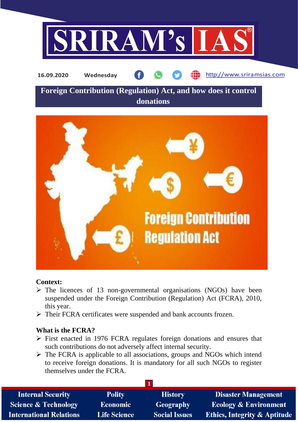

**16.09.2020 Wednesday**

http://www.sriramsias.com

# **Foreign Contribution (Regulation) Act, and how does it control donations**



#### **Context:**

- $\triangleright$  The licences of 13 non-governmental organisations (NGOs) have been suspended under the Foreign Contribution (Regulation) Act (FCRA), 2010, this year.
- ➢ Their FCRA certificates were suspended and bank accounts frozen.

# **What is the FCRA?**

- ➢ First enacted in 1976 FCRA regulates foreign donations and ensures that such contributions do not adversely affect internal security.
- ➢ The FCRA is applicable to all associations, groups and NGOs which intend to receive foreign donations. It is mandatory for all such NGOs to register themselves under the FCRA.

| <b>Internal Security</b>        | <b>Polity</b>       | <b>History</b>       | <b>Disaster Management</b>              |
|---------------------------------|---------------------|----------------------|-----------------------------------------|
| <b>Science &amp; Technology</b> | <b>Economic</b>     | <b>Geography</b>     | <b>Ecology &amp; Environment</b>        |
| <b>International Relations</b>  | <b>Life Science</b> | <b>Social Issues</b> | <b>Ethics, Integrity &amp; Aptitude</b> |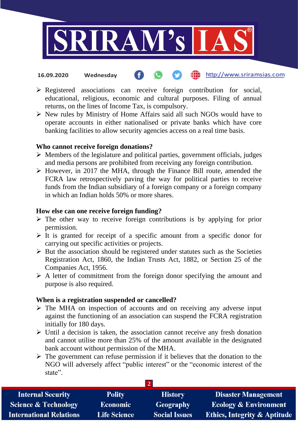

#### the http://www.sriramsias.com **16.09.2020 Wednesday**

- ➢ Registered associations can receive foreign contribution for social, educational, religious, economic and cultural purposes. Filing of annual returns, on the lines of Income Tax, is compulsory.
- ➢ New rules by Ministry of Home Affairs said all such NGOs would have to operate accounts in either nationalised or private banks which have core banking facilities to allow security agencies access on a real time basis.

### **Who cannot receive foreign donations?**

- $\triangleright$  Members of the legislature and political parties, government officials, judges and media persons are prohibited from receiving any foreign contribution.
- ➢ However, in 2017 the MHA, through the Finance Bill route, amended the FCRA law retrospectively paving the way for political parties to receive funds from the Indian subsidiary of a foreign company or a foreign company in which an Indian holds 50% or more shares.

## **How else can one receive foreign funding?**

- $\triangleright$  The other way to receive foreign contributions is by applying for prior permission.
- $\triangleright$  It is granted for receipt of a specific amount from a specific donor for carrying out specific activities or projects.
- $\triangleright$  But the association should be registered under statutes such as the Societies Registration Act, 1860, the Indian Trusts Act, 1882, or Section 25 of the Companies Act, 1956.
- $\triangleright$  A letter of commitment from the foreign donor specifying the amount and purpose is also required.

# **When is a registration suspended or cancelled?**

- $\triangleright$  The MHA on inspection of accounts and on receiving any adverse input against the functioning of an association can suspend the FCRA registration initially for 180 days.
- $\triangleright$  Until a decision is taken, the association cannot receive any fresh donation and cannot utilise more than 25% of the amount available in the designated bank account without permission of the MHA.
- $\triangleright$  The government can refuse permission if it believes that the donation to the NGO will adversely affect "public interest" or the "economic interest of the state".

| <b>Internal Security</b>        | <b>Polity</b>       | <b>History</b>       | <b>Disaster Management</b>              |  |  |
|---------------------------------|---------------------|----------------------|-----------------------------------------|--|--|
| <b>Science &amp; Technology</b> | <b>Economic</b>     | Geography            | <b>Ecology &amp; Environment</b>        |  |  |
| <b>International Relations</b>  | <b>Life Science</b> | <b>Social Issues</b> | <b>Ethics, Integrity &amp; Aptitude</b> |  |  |